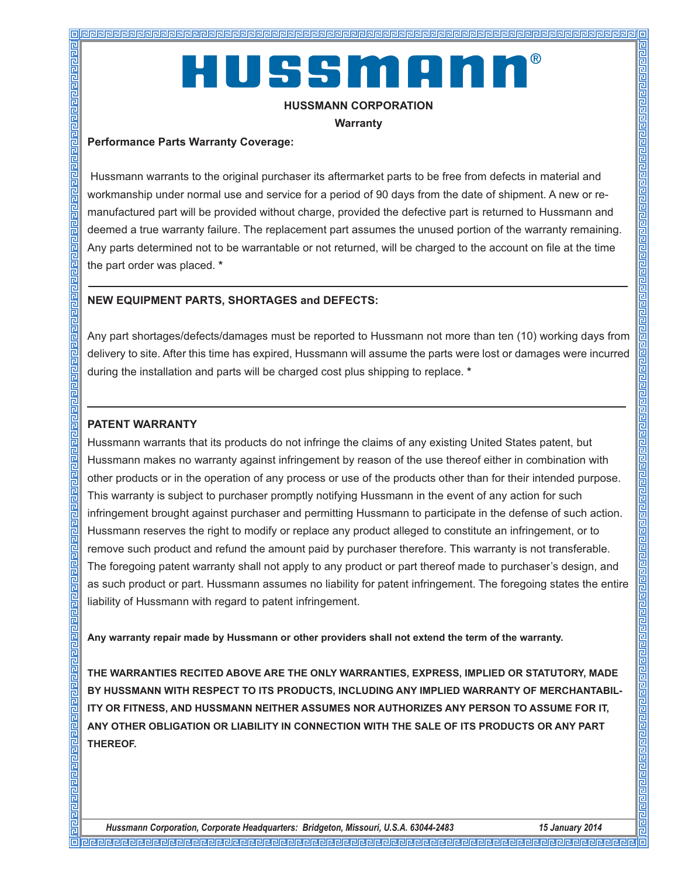# HUSSMAN

#### **HUSSMANN CORPORATION**

**Warranty**

#### **Performance Parts Warranty Coverage:**

**Pleipleight** 

Hussmann warrants to the original purchaser its aftermarket parts to be free from defects in material and workmanship under normal use and service for a period of 90 days from the date of shipment. A new or remanufactured part will be provided without charge, provided the defective part is returned to Hussmann and deemed a true warranty failure. The replacement part assumes the unused portion of the warranty remaining. Any parts determined not to be warrantable or not returned, will be charged to the account on file at the time the part order was placed. **\***

#### **NEW EQUIPMENT PARTS, SHORTAGES and DEFECTS:**

Any part shortages/defects/damages must be reported to Hussmann not more than ten (10) working days from delivery to site. After this time has expired, Hussmann will assume the parts were lost or damages were incurred during the installation and parts will be charged cost plus shipping to replace. **\***

#### **PATENT WARRANTY**

Hussmann warrants that its products do not infringe the claims of any existing United States patent, but Hussmann makes no warranty against infringement by reason of the use thereof either in combination with other products or in the operation of any process or use of the products other than for their intended purpose. This warranty is subject to purchaser promptly notifying Hussmann in the event of any action for such infringement brought against purchaser and permitting Hussmann to participate in the defense of such action. Hussmann reserves the right to modify or replace any product alleged to constitute an infringement, or to remove such product and refund the amount paid by purchaser therefore. This warranty is not transferable. The foregoing patent warranty shall not apply to any product or part thereof made to purchaser's design, and as such product or part. Hussmann assumes no liability for patent infringement. The foregoing states the entire liability of Hussmann with regard to patent infringement.

**Any warranty repair made by Hussmann or other providers shall not extend the term of the warranty.** 

**THE WARRANTIES RECITED ABOVE ARE THE ONLY WARRANTIES, EXPRESS, IMPLIED OR STATUTORY, MADE BY HUSSMANN WITH RESPECT TO ITS PRODUCTS, INCLUDING ANY IMPLIED WARRANTY OF MERCHANTABIL-ITY OR FITNESS, AND HUSSMANN NEITHER ASSUMES NOR AUTHORIZES ANY PERSON TO ASSUME FOR IT, ANY OTHER OBLIGATION OR LIABILITY IN CONNECTION WITH THE SALE OF ITS PRODUCTS OR ANY PART THEREOF.**